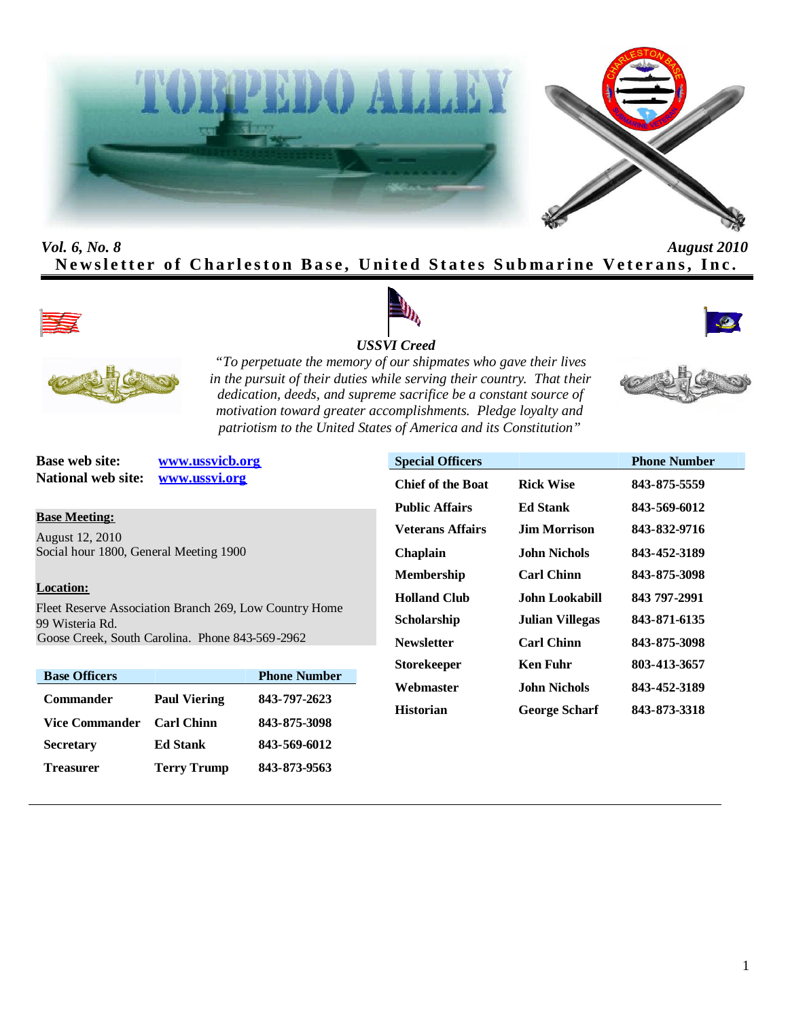



# *Vol. 6, No. 8 August 2010* Newsletter of Charleston Base, United States Submarine Veterans, Inc.









*"To perpetuate the memory of our shipmates who gave their lives in the pursuit of their duties while serving their country. That their dedication, deeds, and supreme sacrifice be a constant source of motivation toward greater accomplishments. Pledge loyalty and patriotism to the United States of America and its Constitution"*

**National web site: www.ussvi.org**

**Base web site: www.ussvicb.org**

**Base Meeting:** August 12, 2010 Social hour 1800, General Meeting 1900

### **Location:**

Fleet Reserve Association Branch 269, Low Country Home 99 Wisteria Rd. Goose Creek, South Carolina. Phone 843-569-2962

| <b>Base Officers</b> |                     | <b>Phone Number</b> |
|----------------------|---------------------|---------------------|
| <b>Commander</b>     | <b>Paul Viering</b> | 843-797-2623        |
| Vice Commander       | <b>Carl Chinn</b>   | 843-875-3098        |
| <b>Secretary</b>     | <b>Ed Stank</b>     | 843-569-6012        |
| Treasurer            | <b>Terry Trump</b>  | 843-873-9563        |

| <b>Special Officers</b>  |                        | <b>Phone Number</b> |
|--------------------------|------------------------|---------------------|
| <b>Chief of the Boat</b> | <b>Rick Wise</b>       | 843-875-5559        |
| Public Affairs           | Ed Stank               | 843-569-6012        |
| <b>Veterans Affairs</b>  | Jim Morrison           | 843-832-9716        |
| Chaplain                 | John Nichols.          | 843-452-3189        |
| Membership               | <b>Carl Chinn</b>      | 843-875-3098        |
| Holland Club             | John Lookabill         | 843 797-2991        |
| Scholarship              | <b>Julian Villegas</b> | 843-871-6135        |
| Newsletter               | <b>Carl Chinn</b>      | 843-875-3098        |
| Storekeeper              | <b>Ken Fuhr</b>        | 803-413-3657        |
| Webmaster                | John Nichols.          | 843-452-3189        |
| Historian                | <b>George Scharf</b>   | 843-873-3318        |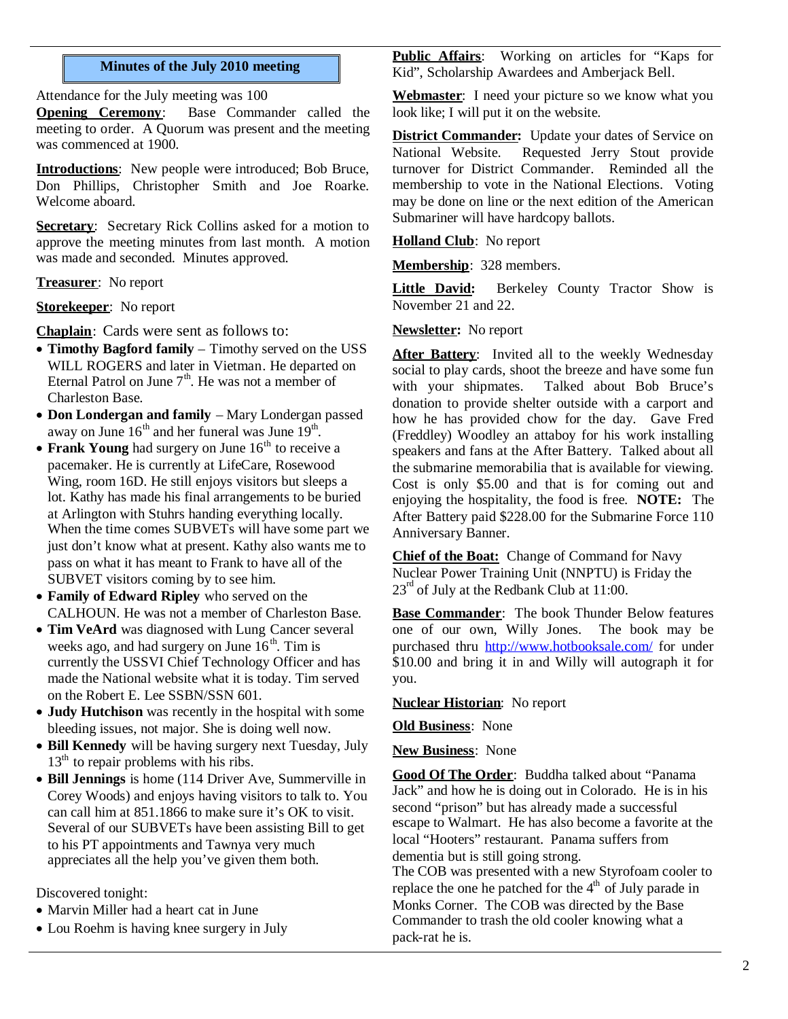#### **Minutes of the July 2010 meeting**

Attendance for the July meeting was 100

**Opening Ceremony**: Base Commander called the meeting to order. A Quorum was present and the meeting was commenced at 1900.

**Introductions**: New people were introduced; Bob Bruce, Don Phillips, Christopher Smith and Joe Roarke. Welcome aboard.

**Secretary**: Secretary Rick Collins asked for a motion to approve the meeting minutes from last month. A motion was made and seconded. Minutes approved.

**Treasurer**: No report

**Storekeeper**: No report

**Chaplain**: Cards were sent as follows to:

- **Timothy Bagford family** Timothy served on the USS WILL ROGERS and later in Vietman. He departed on Eternal Patrol on June  $7<sup>th</sup>$ . He was not a member of Charleston Base.
- **Don Londergan and family** Mary Londergan passed away on June  $16<sup>th</sup>$  and her funeral was June  $19<sup>th</sup>$ .
- **Frank Young** had surgery on June 16<sup>th</sup> to receive a pacemaker. He is currently at LifeCare, Rosewood Wing, room 16D. He still enjoys visitors but sleeps a lot. Kathy has made his final arrangements to be buried at Arlington with Stuhrs handing everything locally. When the time comes SUBVETs will have some part we just don't know what at present. Kathy also wants me to pass on what it has meant to Frank to have all of the SUBVET visitors coming by to see him.
- **Family of Edward Ripley** who served on the CALHOUN. He was not a member of Charleston Base.
- **Tim VeArd** was diagnosed with Lung Cancer several weeks ago, and had surgery on June  $16<sup>th</sup>$ . Tim is currently the USSVI Chief Technology Officer and has made the National website what it is today. Tim served on the Robert E. Lee SSBN/SSN 601.
- **Judy Hutchison** was recently in the hospital with some bleeding issues, not major. She is doing well now.
- **Bill Kennedy** will be having surgery next Tuesday, July  $13<sup>th</sup>$  to repair problems with his ribs.
- **Bill Jennings** is home (114 Driver Ave, Summerville in Corey Woods) and enjoys having visitors to talk to. You can call him at 851.1866 to make sure it's OK to visit. Several of our SUBVETs have been assisting Bill to get to his PT appointments and Tawnya very much appreciates all the help you've given them both.

Discovered tonight:

- Marvin Miller had a heart cat in June
- Lou Roehm is having knee surgery in July

**Public Affairs**: Working on articles for "Kaps for Kid", Scholarship Awardees and Amberjack Bell.

**Webmaster**: I need your picture so we know what you look like; I will put it on the website.

**District Commander:** Update your dates of Service on National Website. Requested Jerry Stout provide turnover for District Commander. Reminded all the membership to vote in the National Elections. Voting may be done on line or the next edition of the American Submariner will have hardcopy ballots.

**Holland Club**: No report

**Membership**: 328 members.

**Little David:** Berkeley County Tractor Show is November 21 and 22.

#### **Newsletter:** No report

After Battery: Invited all to the weekly Wednesday social to play cards, shoot the breeze and have some fun with your shipmates. Talked about Bob Bruce's donation to provide shelter outside with a carport and how he has provided chow for the day. Gave Fred (Freddley) Woodley an attaboy for his work installing speakers and fans at the After Battery. Talked about all the submarine memorabilia that is available for viewing. Cost is only \$5.00 and that is for coming out and enjoying the hospitality, the food is free. **NOTE:** The After Battery paid \$228.00 for the Submarine Force 110 Anniversary Banner.

**Chief of the Boat:** Change of Command for Navy Nuclear Power Training Unit (NNPTU) is Friday the  $23<sup>rd</sup>$  of July at the Redbank Club at 11:00.

**Base Commander**: The book Thunder Below features one of our own, Willy Jones. The book may be purchased thru http://www.hotbooksale.com/ for under \$10.00 and bring it in and Willy will autograph it for you.

**Nuclear Historian**: No report

**Old Business**: None

**New Business**: None

**Good Of The Order**: Buddha talked about "Panama Jack" and how he is doing out in Colorado. He is in his second "prison" but has already made a successful escape to Walmart. He has also become a favorite at the local "Hooters" restaurant. Panama suffers from dementia but is still going strong.

The COB was presented with a new Styrofoam cooler to replace the one he patched for the  $4<sup>th</sup>$  of July parade in Monks Corner. The COB was directed by the Base Commander to trash the old cooler knowing what a pack-rat he is.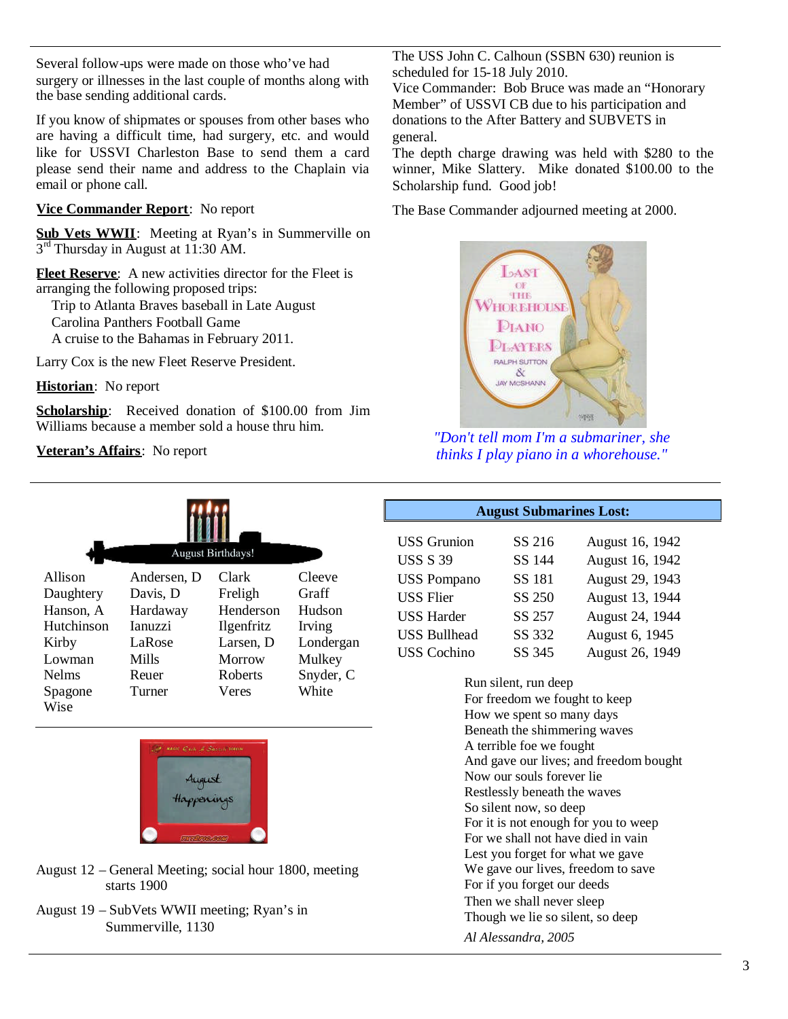Several follow-ups were made on those who've had surgery or illnesses in the last couple of months along with the base sending additional cards.

If you know of shipmates or spouses from other bases who are having a difficult time, had surgery, etc. and would like for USSVI Charleston Base to send them a card please send their name and address to the Chaplain via email or phone call.

# **Vice Commander Report**: No report

Sub Vets WWII: Meeting at Ryan's in Summerville on 3<sup>rd</sup> Thursday in August at 11:30 AM.

**Fleet Reserve**: A new activities director for the Fleet is arranging the following proposed trips:

Trip to Atlanta Braves baseball in Late August Carolina Panthers Football Game

A cruise to the Bahamas in February 2011.

Larry Cox is the new Fleet Reserve President.

**Historian**: No report

Scholarship: Received donation of \$100.00 from Jim Williams because a member sold a house thru him.

**Veteran's Affairs**: No report

| <b>August Birthdays!</b> |                |                   |           |  |  |
|--------------------------|----------------|-------------------|-----------|--|--|
| Allison                  | Andersen, D    | Clark             | Cleeve    |  |  |
| Daughtery                | Davis, D       | Freligh           | Graff     |  |  |
| Hanson, A                | Hardaway       | Henderson         | Hudson    |  |  |
| Hutchinson               | <b>Ianuzzi</b> | <i>Ilgenfritz</i> | Irving    |  |  |
| Kirby                    | LaRose         | Larsen, D         | Londergan |  |  |
| Lowman                   | <b>Mills</b>   | Morrow            | Mulkey    |  |  |
| <b>Nelms</b>             | Reuer          | Roberts           | Snyder, C |  |  |
| Spagone<br>Wise          | Turner         | Veres             | White     |  |  |



- August 12 General Meeting; social hour 1800, meeting starts 1900
- August 19 SubVets WWII meeting; Ryan's in Summerville, 1130

The USS John C. Calhoun (SSBN 630) reunion is scheduled for 15-18 July 2010.

Vice Commander: Bob Bruce was made an "Honorary Member" of USSVI CB due to his participation and donations to the After Battery and SUBVETS in general.

The depth charge drawing was held with \$280 to the winner, Mike Slattery. Mike donated \$100.00 to the Scholarship fund. Good job!

The Base Commander adjourned meeting at 2000.



*"Don't tell mom I'm a submariner, she thinks I play piano in a whorehouse."*

### **August Submarines Lost:**

| <b>USS</b> Grunion  | SS 216 | August 16, 1942 |
|---------------------|--------|-----------------|
| <b>USS S 39</b>     | SS 144 | August 16, 1942 |
| <b>USS Pompano</b>  | SS 181 | August 29, 1943 |
| <b>USS Flier</b>    | SS 250 | August 13, 1944 |
| <b>USS Harder</b>   | SS 257 | August 24, 1944 |
| <b>USS Bullhead</b> | SS 332 | August 6, 1945  |
| <b>USS</b> Cochino  | SS 345 | August 26, 1949 |

Run silent, run deep For freedom we fought to keep How we spent so many days Beneath the shimmering waves A terrible foe we fought And gave our lives; and freedom bought Now our souls forever lie Restlessly beneath the waves So silent now, so deep For it is not enough for you to weep For we shall not have died in vain Lest you forget for what we gave We gave our lives, freedom to save For if you forget our deeds Then we shall never sleep Though we lie so silent, so deep *Al Alessandra, 2005*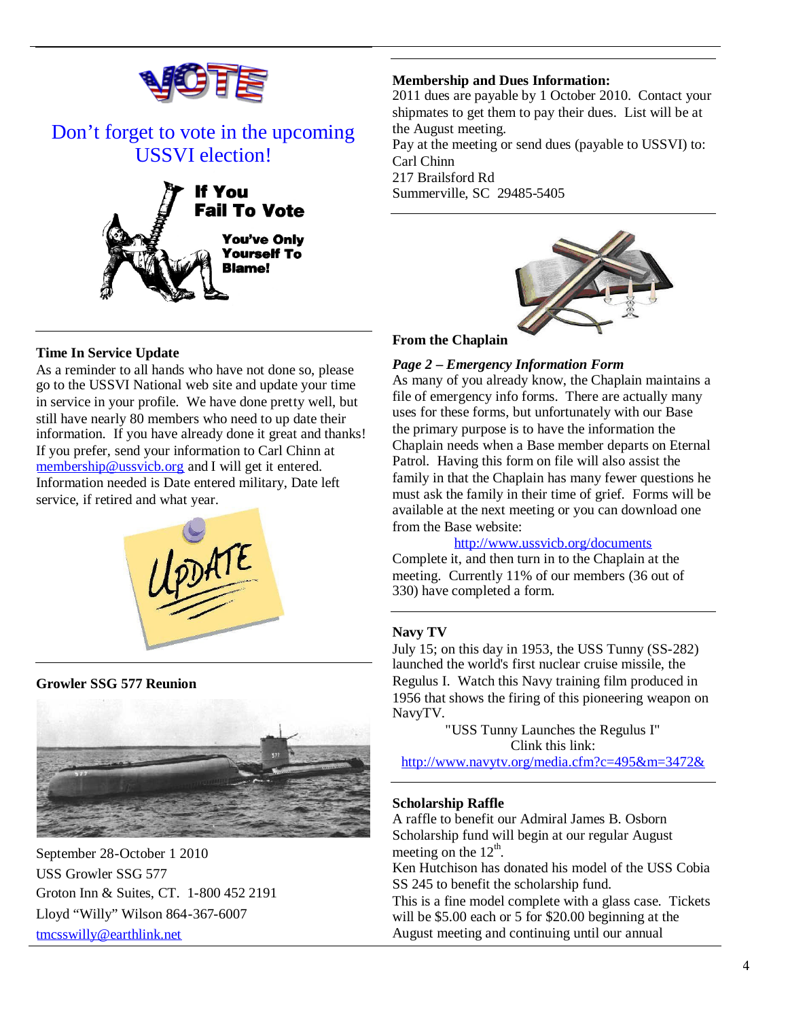

# Don't forget to vote in the upcoming USSVI election!



# **Time In Service Update**

As a reminder to all hands who have not done so, please go to the USSVI National web site and update your time in service in your profile. We have done pretty well, but still have nearly 80 members who need to up date their information. If you have already done it great and thanks! If you prefer, send your information to Carl Chinn at membership@ussvicb.org and I will get it entered. Information needed is Date entered military, Date left service, if retired and what year.



**Growler SSG 577 Reunion**



September 28-October 1 2010 USS Growler SSG 577 Groton Inn & Suites, CT. 1-800 452 2191 Lloyd "Willy" Wilson 864-367-6007 tmcsswilly@earthlink.net

#### **Membership and Dues Information:**

2011 dues are payable by 1 October 2010. Contact your shipmates to get them to pay their dues. List will be at the August meeting.

Pay at the meeting or send dues (payable to USSVI) to: Carl Chinn 217 Brailsford Rd

Summerville, SC 29485-5405



## **From the Chaplain**

# *Page 2 – Emergency Information Form*

As many of you already know, the Chaplain maintains a file of emergency info forms. There are actually many uses for these forms, but unfortunately with our Base the primary purpose is to have the information the Chaplain needs when a Base member departs on Eternal Patrol. Having this form on file will also assist the family in that the Chaplain has many fewer questions he must ask the family in their time of grief. Forms will be available at the next meeting or you can download one from the Base website:

#### http://www.ussvicb.org/documents

Complete it, and then turn in to the Chaplain at the meeting. Currently 11% of our members (36 out of 330) have completed a form.

#### **Navy TV**

July 15; on this day in 1953, the USS Tunny (SS-282) launched the world's first nuclear cruise missile, the Regulus I. Watch this Navy training film produced in 1956 that shows the firing of this pioneering weapon on NavyTV.

> "USS Tunny Launches the Regulus I" Clink this link:

http://www.navytv.org/media.cfm?c=495&m=3472&

#### **Scholarship Raffle**

A raffle to benefit our Admiral James B. Osborn Scholarship fund will begin at our regular August meeting on the  $12^{\text{th}}$ . Ken Hutchison has donated his model of the USS Cobia

SS 245 to benefit the scholarship fund.

This is a fine model complete with a glass case. Tickets will be \$5.00 each or 5 for \$20.00 beginning at the August meeting and continuing until our annual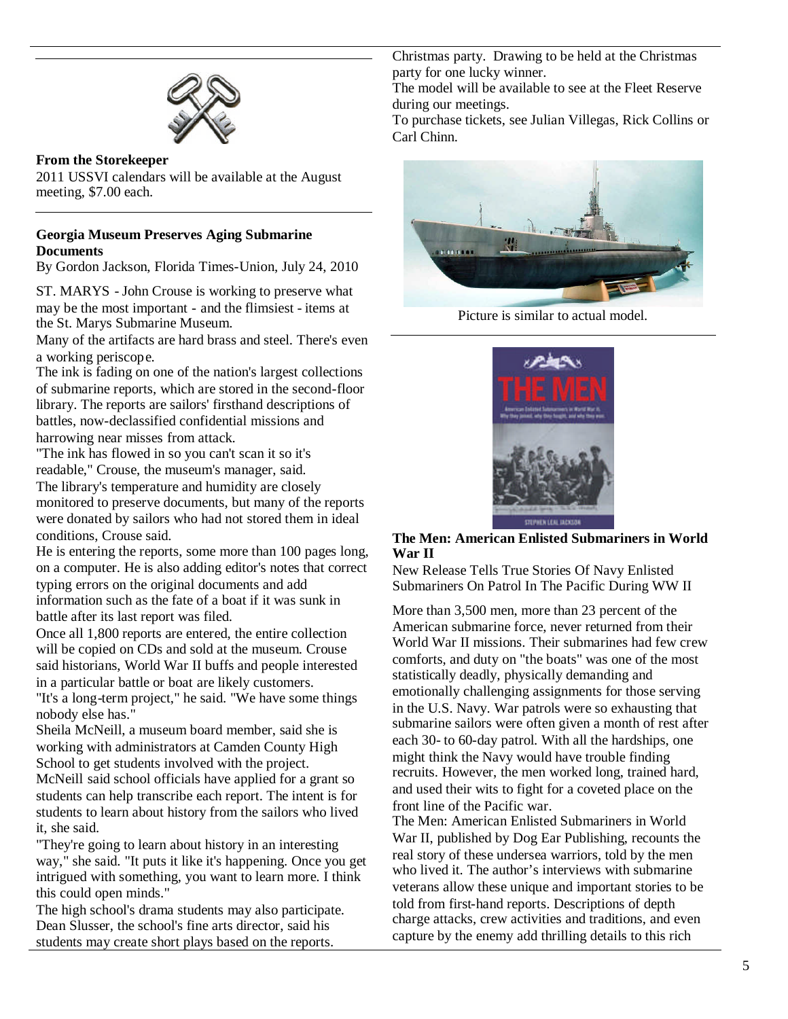

### **From the Storekeeper**

2011 USSVI calendars will be available at the August meeting, \$7.00 each.

## **Georgia Museum Preserves Aging Submarine Documents**

By Gordon Jackson, Florida Times-Union, July 24, 2010

ST. MARYS - John Crouse is working to preserve what may be the most important - and the flimsiest - items at the St. Marys Submarine Museum.

Many of the artifacts are hard brass and steel. There's even a working periscope.

The ink is fading on one of the nation's largest collections of submarine reports, which are stored in the second-floor library. The reports are sailors' firsthand descriptions of battles, now-declassified confidential missions and harrowing near misses from attack.

"The ink has flowed in so you can't scan it so it's readable," Crouse, the museum's manager, said. The library's temperature and humidity are closely monitored to preserve documents, but many of the reports were donated by sailors who had not stored them in ideal conditions, Crouse said.

He is entering the reports, some more than 100 pages long, on a computer. He is also adding editor's notes that correct typing errors on the original documents and add information such as the fate of a boat if it was sunk in battle after its last report was filed.

Once all 1,800 reports are entered, the entire collection will be copied on CDs and sold at the museum. Crouse said historians, World War II buffs and people interested in a particular battle or boat are likely customers.

"It's a long-term project," he said. "We have some things nobody else has."

Sheila McNeill, a museum board member, said she is working with administrators at Camden County High School to get students involved with the project.

McNeill said school officials have applied for a grant so students can help transcribe each report. The intent is for students to learn about history from the sailors who lived it, she said.

"They're going to learn about history in an interesting way," she said. "It puts it like it's happening. Once you get intrigued with something, you want to learn more. I think this could open minds."

The high school's drama students may also participate. Dean Slusser, the school's fine arts director, said his students may create short plays based on the reports.

Christmas party. Drawing to be held at the Christmas party for one lucky winner.

The model will be available to see at the Fleet Reserve during our meetings.

To purchase tickets, see Julian Villegas, Rick Collins or Carl Chinn.



Picture is similar to actual model.



**The Men: American Enlisted Submariners in World War II**

New Release Tells True Stories Of Navy Enlisted Submariners On Patrol In The Pacific During WW II

More than 3,500 men, more than 23 percent of the American submarine force, never returned from their World War II missions. Their submarines had few crew comforts, and duty on "the boats" was one of the most statistically deadly, physically demanding and emotionally challenging assignments for those serving in the U.S. Navy. War patrols were so exhausting that submarine sailors were often given a month of rest after each 30- to 60-day patrol. With all the hardships, one might think the Navy would have trouble finding recruits. However, the men worked long, trained hard, and used their wits to fight for a coveted place on the front line of the Pacific war.

The Men: American Enlisted Submariners in World War II, published by Dog Ear Publishing, recounts the real story of these undersea warriors, told by the men who lived it. The author's interviews with submarine veterans allow these unique and important stories to be told from first-hand reports. Descriptions of depth charge attacks, crew activities and traditions, and even capture by the enemy add thrilling details to this rich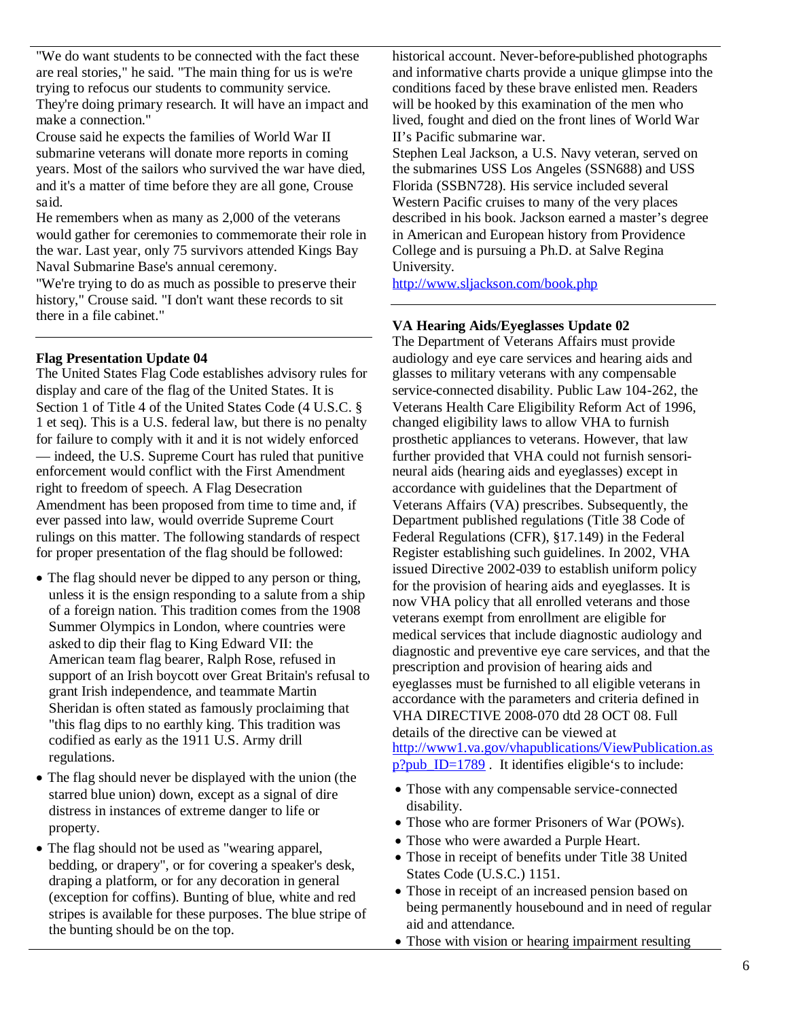"We do want students to be connected with the fact these are real stories," he said. "The main thing for us is we're trying to refocus our students to community service. They're doing primary research. It will have an impact and make a connection."

Crouse said he expects the families of World War II submarine veterans will donate more reports in coming years. Most of the sailors who survived the war have died, and it's a matter of time before they are all gone, Crouse said.

He remembers when as many as 2,000 of the veterans would gather for ceremonies to commemorate their role in the war. Last year, only 75 survivors attended Kings Bay Naval Submarine Base's annual ceremony.

"We're trying to do as much as possible to preserve their history," Crouse said. "I don't want these records to sit there in a file cabinet."

## **Flag Presentation Update 04**

The United States Flag Code establishes advisory rules for display and care of the flag of the United States. It is Section 1 of Title 4 of the United States Code (4 U.S.C. § 1 et seq). This is a U.S. federal law, but there is no penalty for failure to comply with it and it is not widely enforced — indeed, the U.S. Supreme Court has ruled that punitive enforcement would conflict with the First Amendment right to freedom of speech. A Flag Desecration Amendment has been proposed from time to time and, if ever passed into law, would override Supreme Court rulings on this matter. The following standards of respect for proper presentation of the flag should be followed:

- The flag should never be dipped to any person or thing, unless it is the ensign responding to a salute from a ship of a foreign nation. This tradition comes from the 1908 Summer Olympics in London, where countries were asked to dip their flag to King Edward VII: the American team flag bearer, Ralph Rose, refused in support of an Irish boycott over Great Britain's refusal to grant Irish independence, and teammate Martin Sheridan is often stated as famously proclaiming that "this flag dips to no earthly king. This tradition was codified as early as the 1911 U.S. Army drill regulations.
- The flag should never be displayed with the union (the starred blue union) down, except as a signal of dire distress in instances of extreme danger to life or property.
- The flag should not be used as "wearing apparel, bedding, or drapery", or for covering a speaker's desk, draping a platform, or for any decoration in general (exception for coffins). Bunting of blue, white and red stripes is available for these purposes. The blue stripe of the bunting should be on the top.

historical account. Never-before-published photographs and informative charts provide a unique glimpse into the conditions faced by these brave enlisted men. Readers will be hooked by this examination of the men who lived, fought and died on the front lines of World War II's Pacific submarine war.

Stephen Leal Jackson, a U.S. Navy veteran, served on the submarines USS Los Angeles (SSN688) and USS Florida (SSBN728). His service included several Western Pacific cruises to many of the very places described in his book. Jackson earned a master's degree in American and European history from Providence College and is pursuing a Ph.D. at Salve Regina University.

http://www.sljackson.com/book.php

# **VA Hearing Aids/Eyeglasses Update 02**

The Department of Veterans Affairs must provide audiology and eye care services and hearing aids and glasses to military veterans with any compensable service-connected disability. Public Law 104-262, the Veterans Health Care Eligibility Reform Act of 1996, changed eligibility laws to allow VHA to furnish prosthetic appliances to veterans. However, that law further provided that VHA could not furnish sensorineural aids (hearing aids and eyeglasses) except in accordance with guidelines that the Department of Veterans Affairs (VA) prescribes. Subsequently, the Department published regulations (Title 38 Code of Federal Regulations (CFR), §17.149) in the Federal Register establishing such guidelines. In 2002, VHA issued Directive 2002-039 to establish uniform policy for the provision of hearing aids and eyeglasses. It is now VHA policy that all enrolled veterans and those veterans exempt from enrollment are eligible for medical services that include diagnostic audiology and diagnostic and preventive eye care services, and that the prescription and provision of hearing aids and eyeglasses must be furnished to all eligible veterans in accordance with the parameters and criteria defined in VHA DIRECTIVE 2008-070 dtd 28 OCT 08. Full details of the directive can be viewed at http://www1.va.gov/vhapublications/ViewPublication.as  $p?pub$  ID=1789. It identifies eligible's to include:

- Those with any compensable service-connected disability.
- Those who are former Prisoners of War (POWs).
- Those who were awarded a Purple Heart.
- Those in receipt of benefits under Title 38 United States Code (U.S.C.) 1151.
- Those in receipt of an increased pension based on being permanently housebound and in need of regular aid and attendance.
- Those with vision or hearing impairment resulting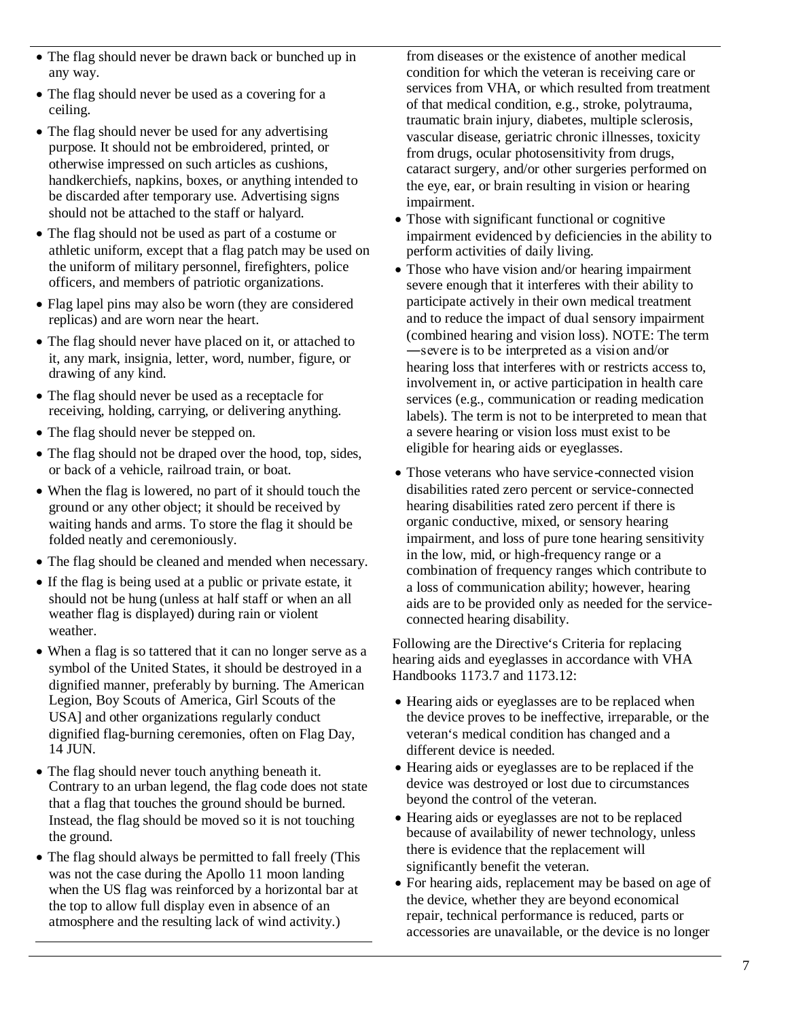- The flag should never be drawn back or bunched up in any way.
- The flag should never be used as a covering for a ceiling.
- The flag should never be used for any advertising purpose. It should not be embroidered, printed, or otherwise impressed on such articles as cushions, handkerchiefs, napkins, boxes, or anything intended to be discarded after temporary use. Advertising signs should not be attached to the staff or halyard.
- The flag should not be used as part of a costume or athletic uniform, except that a flag patch may be used on the uniform of military personnel, firefighters, police officers, and members of patriotic organizations.
- Flag lapel pins may also be worn (they are considered replicas) and are worn near the heart.
- The flag should never have placed on it, or attached to it, any mark, insignia, letter, word, number, figure, or drawing of any kind.
- The flag should never be used as a receptacle for receiving, holding, carrying, or delivering anything.
- The flag should never be stepped on.
- The flag should not be draped over the hood, top, sides, or back of a vehicle, railroad train, or boat.
- When the flag is lowered, no part of it should touch the ground or any other object; it should be received by waiting hands and arms. To store the flag it should be folded neatly and ceremoniously.
- The flag should be cleaned and mended when necessary.
- If the flag is being used at a public or private estate, it should not be hung (unless at half staff or when an all weather flag is displayed) during rain or violent weather.
- When a flag is so tattered that it can no longer serve as a symbol of the United States, it should be destroyed in a dignified manner, preferably by burning. The American Legion, Boy Scouts of America, Girl Scouts of the USA] and other organizations regularly conduct dignified flag-burning ceremonies, often on Flag Day, 14 JUN.
- The flag should never touch anything beneath it. Contrary to an urban legend, the flag code does not state that a flag that touches the ground should be burned. Instead, the flag should be moved so it is not touching the ground.
- The flag should always be permitted to fall freely (This was not the case during the Apollo 11 moon landing when the US flag was reinforced by a horizontal bar at the top to allow full display even in absence of an atmosphere and the resulting lack of wind activity.)

from diseases or the existence of another medical condition for which the veteran is receiving care or services from VHA, or which resulted from treatment of that medical condition, e.g., stroke, polytrauma, traumatic brain injury, diabetes, multiple sclerosis, vascular disease, geriatric chronic illnesses, toxicity from drugs, ocular photosensitivity from drugs, cataract surgery, and/or other surgeries performed on the eye, ear, or brain resulting in vision or hearing impairment.

- Those with significant functional or cognitive impairment evidenced by deficiencies in the ability to perform activities of daily living.
- Those who have vision and/or hearing impairment severe enough that it interferes with their ability to participate actively in their own medical treatment and to reduce the impact of dual sensory impairment (combined hearing and vision loss). NOTE: The term ―severe is to be interpreted as a vision and/or hearing loss that interferes with or restricts access to, involvement in, or active participation in health care services (e.g., communication or reading medication labels). The term is not to be interpreted to mean that a severe hearing or vision loss must exist to be eligible for hearing aids or eyeglasses.
- Those veterans who have service-connected vision disabilities rated zero percent or service-connected hearing disabilities rated zero percent if there is organic conductive, mixed, or sensory hearing impairment, and loss of pure tone hearing sensitivity in the low, mid, or high-frequency range or a combination of frequency ranges which contribute to a loss of communication ability; however, hearing aids are to be provided only as needed for the serviceconnected hearing disability.

Following are the Directive's Criteria for replacing hearing aids and eyeglasses in accordance with VHA Handbooks 1173.7 and 1173.12:

- Hearing aids or eyeglasses are to be replaced when the device proves to be ineffective, irreparable, or the veteran's medical condition has changed and a different device is needed.
- Hearing aids or eyeglasses are to be replaced if the device was destroyed or lost due to circumstances beyond the control of the veteran.
- Hearing aids or eyeglasses are not to be replaced because of availability of newer technology, unless there is evidence that the replacement will significantly benefit the veteran.
- For hearing aids, replacement may be based on age of the device, whether they are beyond economical repair, technical performance is reduced, parts or accessories are unavailable, or the device is no longer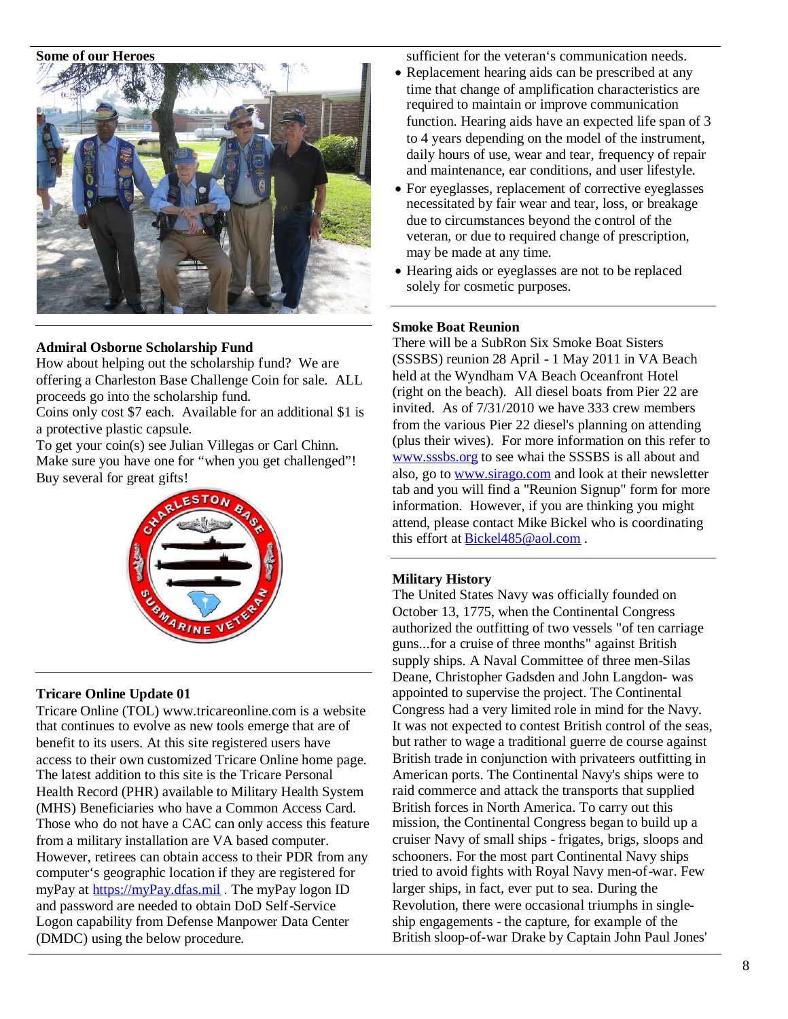#### **Some of our Heroes**



#### **Admiral Osborne Scholarship Fund**

How about helping out the scholarship fund? We are offering a Charleston Base Challenge Coin for sale. ALL proceeds go into the scholarship fund.

Coins only cost \$7 each. Available for an additional \$1 is a protective plastic capsule.

To get your coin(s) see Julian Villegas or Carl Chinn. Make sure you have one for "when you get challenged"! Buy several for great gifts!



#### **Tricare Online Update 01**

Tricare Online (TOL) www.tricareonline.com is a website that continues to evolve as new tools emerge that are of benefit to its users. At this site registered users have access to their own customized Tricare Online home page. The latest addition to this site is the Tricare Personal Health Record (PHR) available to Military Health System (MHS) Beneficiaries who have a Common Access Card. Those who do not have a CAC can only access this feature from a military installation are VA based computer. However, retirees can obtain access to their PDR from any computer's geographic location if they are registered for myPay at https://myPay.dfas.mil. The myPay logon ID and password are needed to obtain DoD Self-Service Logon capability from Defense Manpower Data Center (DMDC) using the below procedure.

sufficient for the veteran's communication needs.

- Replacement hearing aids can be prescribed at any time that change of amplification characteristics are required to maintain or improve communication function. Hearing aids have an expected life span of 3 to 4 years depending on the model of the instrument, daily hours of use, wear and tear, frequency of repair and maintenance, ear conditions, and user lifestyle.
- For eyeglasses, replacement of corrective eyeglasses necessitated by fair wear and tear, loss, or breakage due to circumstances beyond the control of the veteran, or due to required change of prescription, may be made at any time.
- Hearing aids or eyeglasses are not to be replaced solely for cosmetic purposes.

#### **Smoke Boat Reunion**

There will be a SubRon Six Smoke Boat Sisters (SSSBS) reunion 28 April - 1 May 2011 in VA Beach held at the Wyndham VA Beach Oceanfront Hotel (right on the beach). All diesel boats from Pier 22 are invited. As of 7/31/2010 we have 333 crew members from the various Pier 22 diesel's planning on attending (plus their wives). For more information on this refer to www.sssbs.org to see whai the SSSBS is all about and also, go to www.sirago.com and look at their newsletter tab and you will find a "Reunion Signup" form for more information. However, if you are thinking you might attend, please contact Mike Bickel who is coordinating this effort at **Bickel485@aol.com**.

#### **Military History**

The United States Navy was officially founded on October 13, 1775, when the Continental Congress authorized the outfitting of two vessels "of ten carriage guns...for a cruise of three months" against British supply ships. A Naval Committee of three men-Silas Deane, Christopher Gadsden and John Langdon- was appointed to supervise the project. The Continental Congress had a very limited role in mind for the Navy. It was not expected to contest British control of the seas, but rather to wage a traditional guerre de course against British trade in conjunction with privateers outfitting in American ports. The Continental Navy's ships were to raid commerce and attack the transports that supplied British forces in North America. To carry out this mission, the Continental Congress began to build up a cruiser Navy of small ships - frigates, brigs, sloops and schooners. For the most part Continental Navy ships tried to avoid fights with Royal Navy men-of-war. Few larger ships, in fact, ever put to sea. During the Revolution, there were occasional triumphs in singleship engagements - the capture, for example of the British sloop-of-war Drake by Captain John Paul Jones'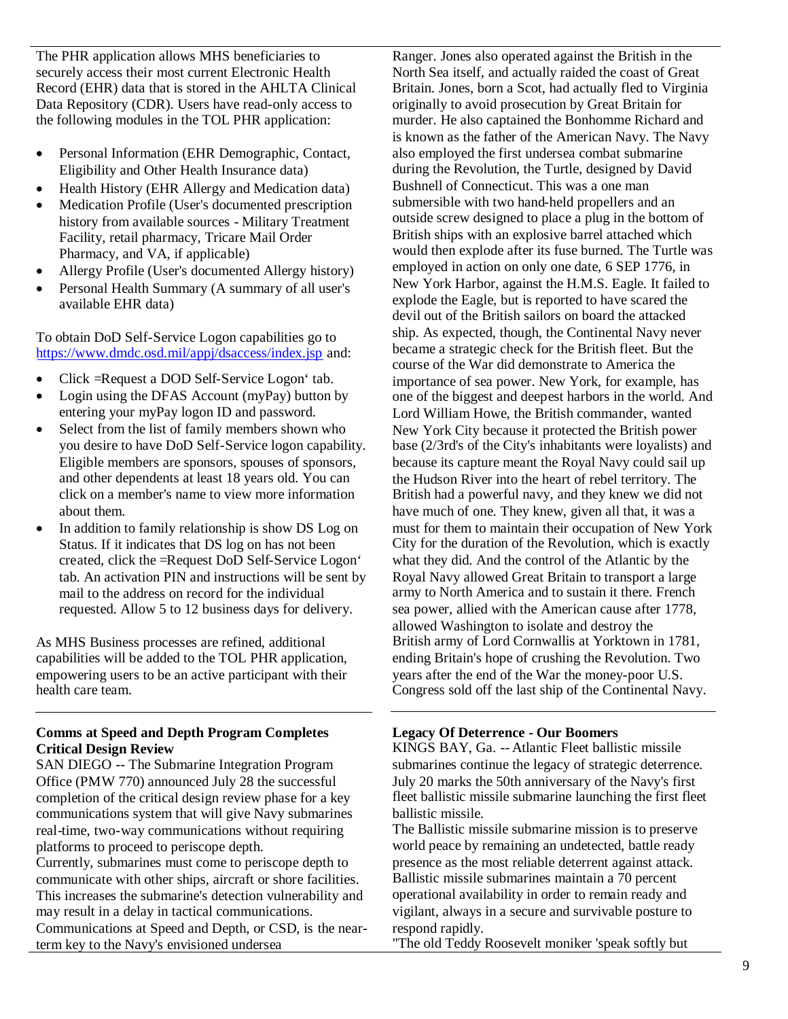The PHR application allows MHS beneficiaries to securely access their most current Electronic Health Record (EHR) data that is stored in the AHLTA Clinical Data Repository (CDR). Users have read-only access to the following modules in the TOL PHR application:

- Personal Information (EHR Demographic, Contact, Eligibility and Other Health Insurance data)
- Health History (EHR Allergy and Medication data)
- Medication Profile (User's documented prescription history from available sources - Military Treatment Facility, retail pharmacy, Tricare Mail Order Pharmacy, and VA, if applicable)
- Allergy Profile (User's documented Allergy history)
- Personal Health Summary (A summary of all user's available EHR data)

To obtain DoD Self-Service Logon capabilities go to https://www.dmdc.osd.mil/appj/dsaccess/index.jsp and:

- Click =Request a DOD Self-Service Logon' tab.
- Login using the DFAS Account (myPay) button by entering your myPay logon ID and password.
- Select from the list of family members shown who you desire to have DoD Self-Service logon capability. Eligible members are sponsors, spouses of sponsors, and other dependents at least 18 years old. You can click on a member's name to view more information about them.
- In addition to family relationship is show DS Log on Status. If it indicates that DS log on has not been created, click the =Request DoD Self-Service Logon' tab. An activation PIN and instructions will be sent by mail to the address on record for the individual requested. Allow 5 to 12 business days for delivery.

As MHS Business processes are refined, additional capabilities will be added to the TOL PHR application, empowering users to be an active participant with their health care team.

# **Comms at Speed and Depth Program Completes Critical Design Review**

SAN DIEGO -- The Submarine Integration Program Office (PMW 770) announced July 28 the successful completion of the critical design review phase for a key communications system that will give Navy submarines real-time, two-way communications without requiring platforms to proceed to periscope depth. Currently, submarines must come to periscope depth to communicate with other ships, aircraft or shore facilities. This increases the submarine's detection vulnerability and may result in a delay in tactical communications. Communications at Speed and Depth, or CSD, is the nearterm key to the Navy's envisioned undersea

Ranger. Jones also operated against the British in the North Sea itself, and actually raided the coast of Great Britain. Jones, born a Scot, had actually fled to Virginia originally to avoid prosecution by Great Britain for murder. He also captained the Bonhomme Richard and is known as the father of the American Navy. The Navy also employed the first undersea combat submarine during the Revolution, the Turtle, designed by David Bushnell of Connecticut. This was a one man submersible with two hand-held propellers and an outside screw designed to place a plug in the bottom of British ships with an explosive barrel attached which would then explode after its fuse burned. The Turtle was employed in action on only one date, 6 SEP 1776, in New York Harbor, against the H.M.S. Eagle. It failed to explode the Eagle, but is reported to have scared the devil out of the British sailors on board the attacked ship. As expected, though, the Continental Navy never became a strategic check for the British fleet. But the course of the War did demonstrate to America the importance of sea power. New York, for example, has one of the biggest and deepest harbors in the world. And Lord William Howe, the British commander, wanted New York City because it protected the British power base (2/3rd's of the City's inhabitants were loyalists) and because its capture meant the Royal Navy could sail up the Hudson River into the heart of rebel territory. The British had a powerful navy, and they knew we did not have much of one. They knew, given all that, it was a must for them to maintain their occupation of New York City for the duration of the Revolution, which is exactly what they did. And the control of the Atlantic by the Royal Navy allowed Great Britain to transport a large army to North America and to sustain it there. French sea power, allied with the American cause after 1778, allowed Washington to isolate and destroy the British army of Lord Cornwallis at Yorktown in 1781, ending Britain's hope of crushing the Revolution. Two years after the end of the War the money-poor U.S. Congress sold off the last ship of the Continental Navy.

# **Legacy Of Deterrence - Our Boomers**

KINGS BAY, Ga. -- Atlantic Fleet ballistic missile submarines continue the legacy of strategic deterrence. July 20 marks the 50th anniversary of the Navy's first fleet ballistic missile submarine launching the first fleet ballistic missile.

The Ballistic missile submarine mission is to preserve world peace by remaining an undetected, battle ready presence as the most reliable deterrent against attack. Ballistic missile submarines maintain a 70 percent operational availability in order to remain ready and vigilant, always in a secure and survivable posture to respond rapidly.

"The old Teddy Roosevelt moniker 'speak softly but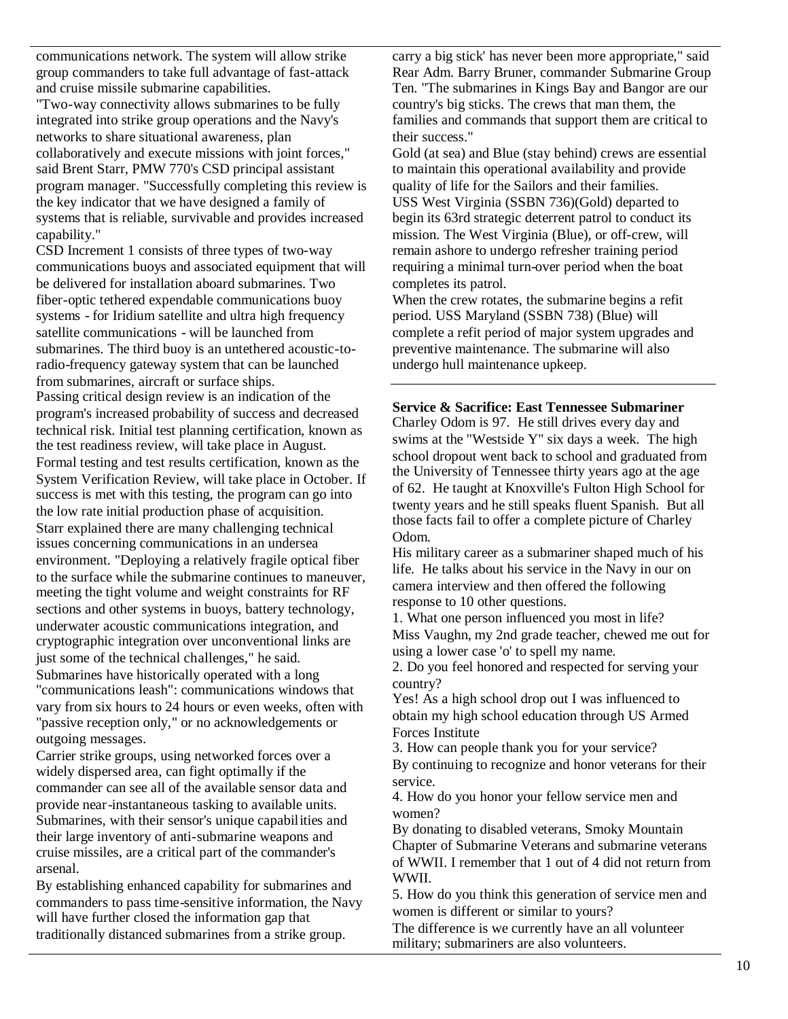communications network. The system will allow strike group commanders to take full advantage of fast-attack and cruise missile submarine capabilities.

"Two-way connectivity allows submarines to be fully integrated into strike group operations and the Navy's networks to share situational awareness, plan collaboratively and execute missions with joint forces," said Brent Starr, PMW 770's CSD principal assistant program manager. "Successfully completing this review is the key indicator that we have designed a family of systems that is reliable, survivable and provides increased capability."

CSD Increment 1 consists of three types of two-way communications buoys and associated equipment that will be delivered for installation aboard submarines. Two fiber-optic tethered expendable communications buoy systems - for Iridium satellite and ultra high frequency satellite communications - will be launched from submarines. The third buoy is an untethered acoustic-toradio-frequency gateway system that can be launched from submarines, aircraft or surface ships.

Passing critical design review is an indication of the program's increased probability of success and decreased technical risk. Initial test planning certification, known as the test readiness review, will take place in August. Formal testing and test results certification, known as the System Verification Review, will take place in October. If success is met with this testing, the program can go into the low rate initial production phase of acquisition. Starr explained there are many challenging technical issues concerning communications in an undersea environment. "Deploying a relatively fragile optical fiber to the surface while the submarine continues to maneuver, meeting the tight volume and weight constraints for RF sections and other systems in buoys, battery technology, underwater acoustic communications integration, and cryptographic integration over unconventional links are just some of the technical challenges," he said. Submarines have historically operated with a long "communications leash": communications windows that vary from six hours to 24 hours or even weeks, often with "passive reception only," or no acknowledgements or outgoing messages.

Carrier strike groups, using networked forces over a widely dispersed area, can fight optimally if the commander can see all of the available sensor data and provide near-instantaneous tasking to available units. Submarines, with their sensor's unique capabilities and their large inventory of anti-submarine weapons and cruise missiles, are a critical part of the commander's arsenal.

By establishing enhanced capability for submarines and commanders to pass time-sensitive information, the Navy will have further closed the information gap that traditionally distanced submarines from a strike group.

carry a big stick' has never been more appropriate," said Rear Adm. Barry Bruner, commander Submarine Group Ten. "The submarines in Kings Bay and Bangor are our country's big sticks. The crews that man them, the families and commands that support them are critical to their success."

Gold (at sea) and Blue (stay behind) crews are essential to maintain this operational availability and provide quality of life for the Sailors and their families. USS West Virginia (SSBN 736)(Gold) departed to begin its 63rd strategic deterrent patrol to conduct its mission. The West Virginia (Blue), or off-crew, will remain ashore to undergo refresher training period requiring a minimal turn-over period when the boat completes its patrol.

When the crew rotates, the submarine begins a refit period. USS Maryland (SSBN 738) (Blue) will complete a refit period of major system upgrades and preventive maintenance. The submarine will also undergo hull maintenance upkeep.

#### **Service & Sacrifice: East Tennessee Submariner**

Charley Odom is 97. He still drives every day and swims at the "Westside Y" six days a week. The high school dropout went back to school and graduated from the University of Tennessee thirty years ago at the age of 62. He taught at Knoxville's Fulton High School for twenty years and he still speaks fluent Spanish. But all those facts fail to offer a complete picture of Charley Odom.

His military career as a submariner shaped much of his life. He talks about his service in the Navy in our on camera interview and then offered the following response to 10 other questions.

1. What one person influenced you most in life? Miss Vaughn, my 2nd grade teacher, chewed me out for using a lower case 'o' to spell my name.

2. Do you feel honored and respected for serving your country?

Yes! As a high school drop out I was influenced to obtain my high school education through US Armed Forces Institute

3. How can people thank you for your service? By continuing to recognize and honor veterans for their service.

4. How do you honor your fellow service men and women?

By donating to disabled veterans, Smoky Mountain Chapter of Submarine Veterans and submarine veterans of WWII. I remember that 1 out of 4 did not return from WWII.

5. How do you think this generation of service men and women is different or similar to yours?

The difference is we currently have an all volunteer military; submariners are also volunteers.